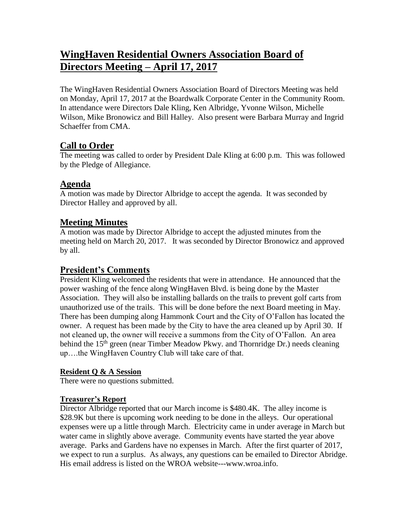# **WingHaven Residential Owners Association Board of Directors Meeting – April 17, 2017**

The WingHaven Residential Owners Association Board of Directors Meeting was held on Monday, April 17, 2017 at the Boardwalk Corporate Center in the Community Room. In attendance were Directors Dale Kling, Ken Albridge, Yvonne Wilson, Michelle Wilson, Mike Bronowicz and Bill Halley. Also present were Barbara Murray and Ingrid Schaeffer from CMA.

# **Call to Order**

The meeting was called to order by President Dale Kling at 6:00 p.m. This was followed by the Pledge of Allegiance.

# **Agenda**

A motion was made by Director Albridge to accept the agenda. It was seconded by Director Halley and approved by all.

### **Meeting Minutes**

A motion was made by Director Albridge to accept the adjusted minutes from the meeting held on March 20, 2017. It was seconded by Director Bronowicz and approved by all.

### **President's Comments**

President Kling welcomed the residents that were in attendance. He announced that the power washing of the fence along WingHaven Blvd. is being done by the Master Association. They will also be installing ballards on the trails to prevent golf carts from unauthorized use of the trails. This will be done before the next Board meeting in May. There has been dumping along Hammonk Court and the City of O'Fallon has located the owner. A request has been made by the City to have the area cleaned up by April 30. If not cleaned up, the owner will receive a summons from the City of O'Fallon. An area behind the 15<sup>th</sup> green (near Timber Meadow Pkwy. and Thornridge Dr.) needs cleaning up….the WingHaven Country Club will take care of that.

### **Resident Q & A Session**

There were no questions submitted.

### **Treasurer's Report**

Director Albridge reported that our March income is \$480.4K. The alley income is \$28.9K but there is upcoming work needing to be done in the alleys. Our operational expenses were up a little through March. Electricity came in under average in March but water came in slightly above average. Community events have started the year above average. Parks and Gardens have no expenses in March. After the first quarter of 2017, we expect to run a surplus. As always, any questions can be emailed to Director Abridge. His email address is listed on the WROA website---www.wroa.info.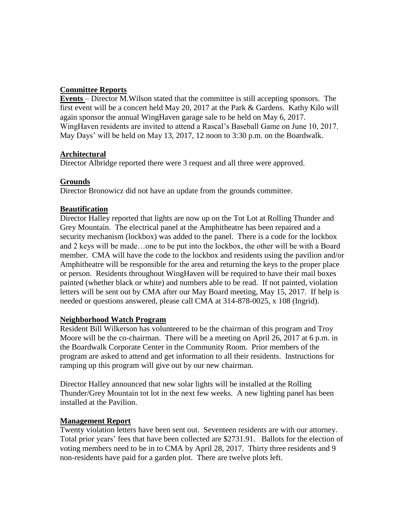#### **Committee Reports**

**Events** – Director M.Wilson stated that the committee is still accepting sponsors. The first event will be a concert held May 20, 2017 at the Park & Gardens. Kathy Kilo will again sponsor the annual WingHaven garage sale to be held on May 6, 2017. WingHaven residents are invited to attend a Rascal's Baseball Game on June 10, 2017. May Days' will be held on May 13, 2017, 12 noon to 3:30 p.m. on the Boardwalk.

#### **Architectural**

Director Albridge reported there were 3 request and all three were approved.

#### **Grounds**

Director Bronowicz did not have an update from the grounds committee.

#### **Beautification**

Director Halley reported that lights are now up on the Tot Lot at Rolling Thunder and Grey Mountain. The electrical panel at the Amphitheatre has been repaired and a security mechanism (lockbox) was added to the panel. There is a code for the lockbox and 2 keys will be made…one to be put into the lockbox, the other will be with a Board member. CMA will have the code to the lockbox and residents using the pavilion and/or Amphitheatre will be responsible for the area and returning the keys to the proper place or person. Residents throughout WingHaven will be required to have their mail boxes painted (whether black or white) and numbers able to be read. If not painted, violation letters will be sent out by CMA after our May Board meeting, May 15, 2017. If help is needed or questions answered, please call CMA at 314-878-0025, x 108 (Ingrid).

#### **Neighborhood Watch Program**

Resident Bill Wilkerson has volunteered to be the chairman of this program and Troy Moore will be the co-chairman. There will be a meeting on April 26, 2017 at 6 p.m. in the Boardwalk Corporate Center in the Community Room. Prior members of the program are asked to attend and get information to all their residents. Instructions for ramping up this program will give out by our new chairman.

Director Halley announced that new solar lights will be installed at the Rolling Thunder/Grey Mountain tot lot in the next few weeks. A new lighting panel has been installed at the Pavilion.

#### **Management Report**

Twenty violation letters have been sent out. Seventeen residents are with our attorney. Total prior years' fees that have been collected are \$2731.91. Ballots for the election of voting members need to be in to CMA by April 28, 2017. Thirty three residents and 9 non-residents have paid for a garden plot. There are twelve plots left.